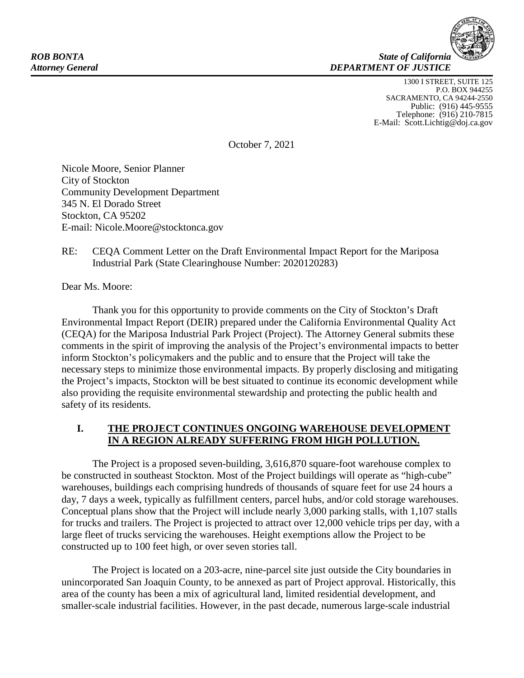

1300 I STREET, SUITE 125 P.O. BOX 944255 SACRAMENTO, CA 94244-2550 Public: (916) 445-9555<br>Telephone: (916) 210-7815 E-Mail: Scott.Lichtig@doj.ca.gov

October 7, 2021

Nicole Moore, Senior Planner City of Stockton Community Development Department 345 N. El Dorado Street Stockton, CA 95202 E-mail: Nicole.Moore@stocktonca.gov

#### RE: CEQA Comment Letter on the Draft Environmental Impact Report for the Mariposa Industrial Park (State Clearinghouse Number: 2020120283)

Dear Ms. Moore:

Thank you for this opportunity to provide comments on the City of Stockton's Draft Environmental Impact Report (DEIR) prepared under the California Environmental Quality Act (CEQA) for the Mariposa Industrial Park Project (Project). The Attorney General submits these comments in the spirit of improving the analysis of the Project's environmental impacts to better inform Stockton's policymakers and the public and to ensure that the Project will take the necessary steps to minimize those environmental impacts. By properly disclosing and mitigating the Project's impacts, Stockton will be best situated to continue its economic development while also providing the requisite environmental stewardship and protecting the public health and safety of its residents.

# **I. THE PROJECT CONTINUES ONGOING WAREHOUSE DEVELOPMENT IN A REGION ALREADY SUFFERING FROM HIGH POLLUTION.**

The Project is a proposed seven-building, 3,616,870 square-foot warehouse complex to be constructed in southeast Stockton. Most of the Project buildings will operate as "high-cube" warehouses, buildings each comprising hundreds of thousands of square feet for use 24 hours a day, 7 days a week, typically as fulfillment centers, parcel hubs, and/or cold storage warehouses. Conceptual plans show that the Project will include nearly 3,000 parking stalls, with 1,107 stalls for trucks and trailers. The Project is projected to attract over 12,000 vehicle trips per day, with a large fleet of trucks servicing the warehouses. Height exemptions allow the Project to be constructed up to 100 feet high, or over seven stories tall.

The Project is located on a 203-acre, nine-parcel site just outside the City boundaries in unincorporated San Joaquin County, to be annexed as part of Project approval. Historically, this area of the county has been a mix of agricultural land, limited residential development, and smaller-scale industrial facilities. However, in the past decade, numerous large-scale industrial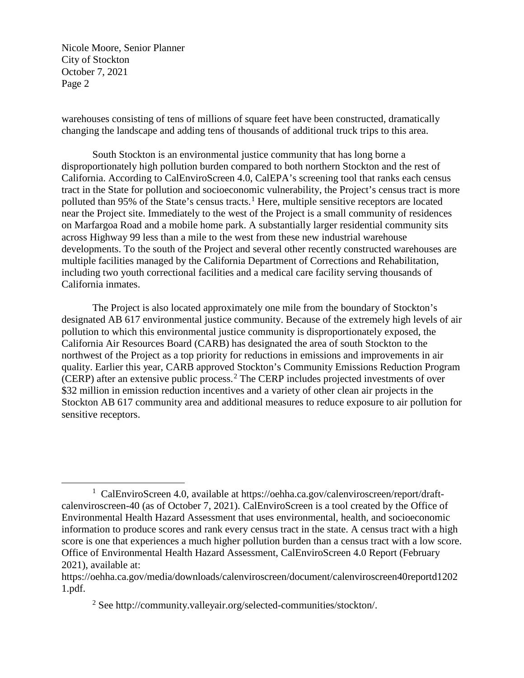warehouses consisting of tens of millions of square feet have been constructed, dramatically changing the landscape and adding tens of thousands of additional truck trips to this area.

South Stockton is an environmental justice community that has long borne a disproportionately high pollution burden compared to both northern Stockton and the rest of California. According to CalEnviroScreen 4.0, CalEPA's screening tool that ranks each census tract in the State for pollution and socioeconomic vulnerability, the Project's census tract is more polluted than 95% of the State's census tracts.<sup>[1](#page-1-0)</sup> Here, multiple sensitive receptors are located near the Project site. Immediately to the west of the Project is a small community of residences on Marfargoa Road and a mobile home park. A substantially larger residential community sits across Highway 99 less than a mile to the west from these new industrial warehouse developments. To the south of the Project and several other recently constructed warehouses are multiple facilities managed by the California Department of Corrections and Rehabilitation, including two youth correctional facilities and a medical care facility serving thousands of California inmates.

The Project is also located approximately one mile from the boundary of Stockton's designated AB 617 environmental justice community. Because of the extremely high levels of air pollution to which this environmental justice community is disproportionately exposed, the California Air Resources Board (CARB) has designated the area of south Stockton to the northwest of the Project as a top priority for reductions in emissions and improvements in air quality. Earlier this year, CARB approved Stockton's Community Emissions Reduction Program (CERP) after an extensive public process.<sup>[2](#page-1-1)</sup> The CERP includes projected investments of over \$32 million in emission reduction incentives and a variety of other clean air projects in the Stockton AB 617 community area and additional measures to reduce exposure to air pollution for sensitive receptors.

<span id="page-1-0"></span><sup>&</sup>lt;u>1</u> CalEnviroScreen 4.0, available at https://oehha.ca.gov/calenviroscreen/report/draftcalenviroscreen-40 (as of October 7, 2021). CalEnviroScreen is a tool created by the Office of Environmental Health Hazard Assessment that uses environmental, health, and socioeconomic information to produce scores and rank every census tract in the state. A census tract with a high score is one that experiences a much higher pollution burden than a census tract with a low score. Office of Environmental Health Hazard Assessment, CalEnviroScreen 4.0 Report (February 2021), available at:

<span id="page-1-1"></span>https://oehha.ca.gov/media/downloads/calenviroscreen/document/calenviroscreen40reportd1202 1.pdf.

<sup>2</sup> See http://community.valleyair.org/selected-communities/stockton/.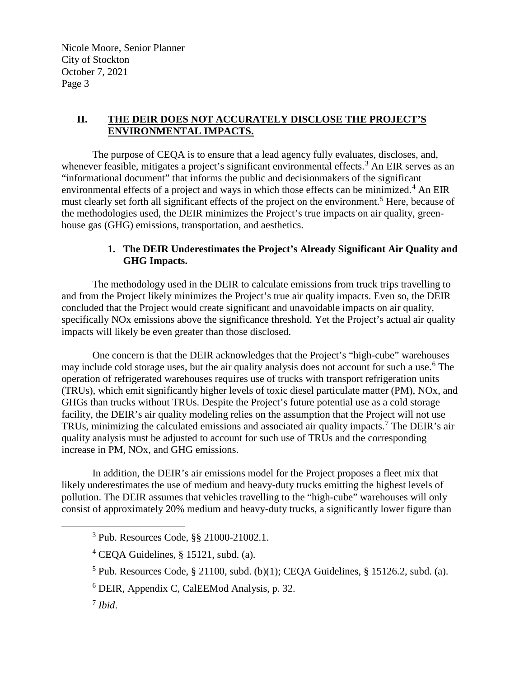#### **II. THE DEIR DOES NOT ACCURATELY DISCLOSE THE PROJECT'S ENVIRONMENTAL IMPACTS.**

The purpose of CEQA is to ensure that a lead agency fully evaluates, discloses, and, whenever feasible, mitigates a project's significant environmental effects.<sup>[3](#page-2-0)</sup> An EIR serves as an "informational document" that informs the public and decisionmakers of the significant environmental effects of a project and ways in which those effects can be minimized.<sup>[4](#page-2-1)</sup> An EIR must clearly set forth all significant effects of the project on the environment.<sup>[5](#page-2-2)</sup> Here, because of the methodologies used, the DEIR minimizes the Project's true impacts on air quality, greenhouse gas (GHG) emissions, transportation, and aesthetics.

## **1. The DEIR Underestimates the Project's Already Significant Air Quality and GHG Impacts.**

The methodology used in the DEIR to calculate emissions from truck trips travelling to and from the Project likely minimizes the Project's true air quality impacts. Even so, the DEIR concluded that the Project would create significant and unavoidable impacts on air quality, specifically NOx emissions above the significance threshold. Yet the Project's actual air quality impacts will likely be even greater than those disclosed.

One concern is that the DEIR acknowledges that the Project's "high-cube" warehouses may include cold storage uses, but the air quality analysis does not account for such a use.<sup>[6](#page-2-3)</sup> The operation of refrigerated warehouses requires use of trucks with transport refrigeration units (TRUs), which emit significantly higher levels of toxic diesel particulate matter (PM), NOx, and GHGs than trucks without TRUs. Despite the Project's future potential use as a cold storage facility, the DEIR's air quality modeling relies on the assumption that the Project will not use TRUs, minimizing the calculated emissions and associated air quality impacts.[7](#page-2-4) The DEIR's air quality analysis must be adjusted to account for such use of TRUs and the corresponding increase in PM, NOx, and GHG emissions.

In addition, the DEIR's air emissions model for the Project proposes a fleet mix that likely underestimates the use of medium and heavy-duty trucks emitting the highest levels of pollution. The DEIR assumes that vehicles travelling to the "high-cube" warehouses will only consist of approximately 20% medium and heavy-duty trucks, a significantly lower figure than

<span id="page-2-3"></span><span id="page-2-2"></span><span id="page-2-1"></span><span id="page-2-0"></span> $\overline{\phantom{a}}$  3 Pub. Resources Code, §§ 21000-21002.1.

 $4$  CEQA Guidelines, § 15121, subd. (a).

<sup>&</sup>lt;sup>5</sup> Pub. Resources Code, § 21100, subd. (b)(1); CEQA Guidelines, § 15126.2, subd. (a).

<sup>6</sup> DEIR, Appendix C, CalEEMod Analysis, p. 32.

<span id="page-2-4"></span><sup>7</sup> *Ibid*.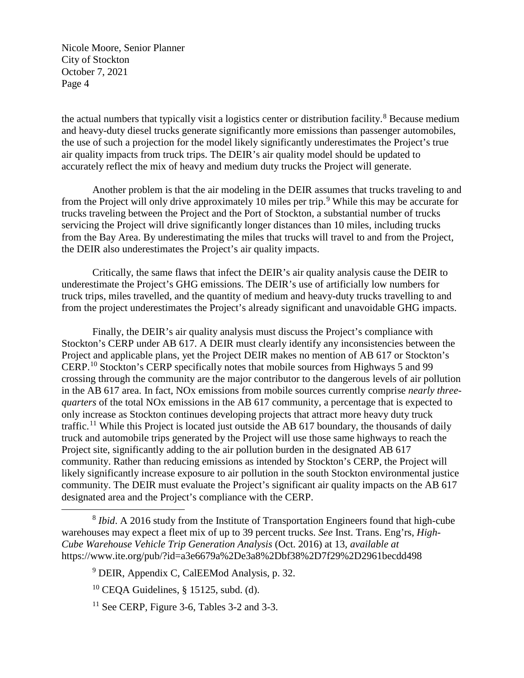the actual numbers that typically visit a logistics center or distribution facility.<sup>[8](#page-3-0)</sup> Because medium and heavy-duty diesel trucks generate significantly more emissions than passenger automobiles, the use of such a projection for the model likely significantly underestimates the Project's true air quality impacts from truck trips. The DEIR's air quality model should be updated to accurately reflect the mix of heavy and medium duty trucks the Project will generate.

Another problem is that the air modeling in the DEIR assumes that trucks traveling to and from the Project will only drive approximately 10 miles per trip.<sup>[9](#page-3-1)</sup> While this may be accurate for trucks traveling between the Project and the Port of Stockton, a substantial number of trucks servicing the Project will drive significantly longer distances than 10 miles, including trucks from the Bay Area. By underestimating the miles that trucks will travel to and from the Project, the DEIR also underestimates the Project's air quality impacts.

Critically, the same flaws that infect the DEIR's air quality analysis cause the DEIR to underestimate the Project's GHG emissions. The DEIR's use of artificially low numbers for truck trips, miles travelled, and the quantity of medium and heavy-duty trucks travelling to and from the project underestimates the Project's already significant and unavoidable GHG impacts.

Finally, the DEIR's air quality analysis must discuss the Project's compliance with Stockton's CERP under AB 617. A DEIR must clearly identify any inconsistencies between the Project and applicable plans, yet the Project DEIR makes no mention of AB 617 or Stockton's CERP.[10](#page-3-2) Stockton's CERP specifically notes that mobile sources from Highways 5 and 99 crossing through the community are the major contributor to the dangerous levels of air pollution in the AB 617 area. In fact, NOx emissions from mobile sources currently comprise *nearly threequarters* of the total NOx emissions in the AB 617 community, a percentage that is expected to only increase as Stockton continues developing projects that attract more heavy duty truck traffic.<sup>[11](#page-3-3)</sup> While this Project is located just outside the AB 617 boundary, the thousands of daily truck and automobile trips generated by the Project will use those same highways to reach the Project site, significantly adding to the air pollution burden in the designated AB 617 community. Rather than reducing emissions as intended by Stockton's CERP, the Project will likely significantly increase exposure to air pollution in the south Stockton environmental justice community. The DEIR must evaluate the Project's significant air quality impacts on the AB 617 designated area and the Project's compliance with the CERP.

<span id="page-3-1"></span><span id="page-3-0"></span> <sup>8</sup> *Ibid*. A 2016 study from the Institute of Transportation Engineers found that high-cube warehouses may expect a fleet mix of up to 39 percent trucks. *See* Inst. Trans. Eng'rs, *High-Cube Warehouse Vehicle Trip Generation Analysis* (Oct. 2016) at 13, *available at*  https://www.ite.org/pub/?id=a3e6679a%2De3a8%2Dbf38%2D7f29%2D2961becdd498

<sup>&</sup>lt;sup>9</sup> DEIR, Appendix C, CalEEMod Analysis, p. 32.

<span id="page-3-2"></span> $10$  CEQA Guidelines, § 15125, subd. (d).

<span id="page-3-3"></span> $11$  See CERP, Figure 3-6, Tables 3-2 and 3-3.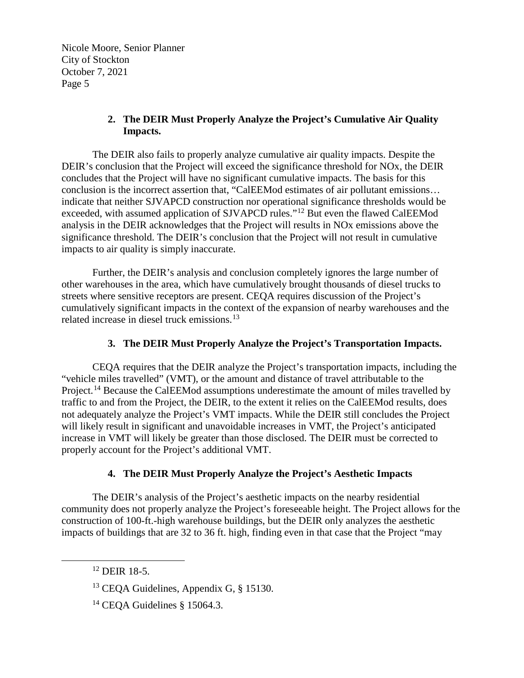## **2. The DEIR Must Properly Analyze the Project's Cumulative Air Quality Impacts.**

The DEIR also fails to properly analyze cumulative air quality impacts. Despite the DEIR's conclusion that the Project will exceed the significance threshold for NOx, the DEIR concludes that the Project will have no significant cumulative impacts. The basis for this conclusion is the incorrect assertion that, "CalEEMod estimates of air pollutant emissions… indicate that neither SJVAPCD construction nor operational significance thresholds would be exceeded, with assumed application of SJVAPCD rules."<sup>12</sup> But even the flawed CalEEMod analysis in the DEIR acknowledges that the Project will results in NOx emissions above the significance threshold. The DEIR's conclusion that the Project will not result in cumulative impacts to air quality is simply inaccurate.

Further, the DEIR's analysis and conclusion completely ignores the large number of other warehouses in the area, which have cumulatively brought thousands of diesel trucks to streets where sensitive receptors are present. CEQA requires discussion of the Project's cumulatively significant impacts in the context of the expansion of nearby warehouses and the related increase in diesel truck emissions. [13](#page-4-1) 

## **3. The DEIR Must Properly Analyze the Project's Transportation Impacts.**

CEQA requires that the DEIR analyze the Project's transportation impacts, including the "vehicle miles travelled" (VMT), or the amount and distance of travel attributable to the Project.<sup>[14](#page-4-2)</sup> Because the CalEEMod assumptions underestimate the amount of miles travelled by traffic to and from the Project, the DEIR, to the extent it relies on the CalEEMod results, does not adequately analyze the Project's VMT impacts. While the DEIR still concludes the Project will likely result in significant and unavoidable increases in VMT, the Project's anticipated increase in VMT will likely be greater than those disclosed. The DEIR must be corrected to properly account for the Project's additional VMT.

## **4. The DEIR Must Properly Analyze the Project's Aesthetic Impacts**

The DEIR's analysis of the Project's aesthetic impacts on the nearby residential community does not properly analyze the Project's foreseeable height. The Project allows for the construction of 100-ft.-high warehouse buildings, but the DEIR only analyzes the aesthetic impacts of buildings that are 32 to 36 ft. high, finding even in that case that the Project "may

<span id="page-4-0"></span> <sup>12</sup> DEIR 18-5.

<span id="page-4-1"></span><sup>&</sup>lt;sup>13</sup> CEQA Guidelines, Appendix G, § 15130.

<span id="page-4-2"></span><sup>&</sup>lt;sup>14</sup> CEQA Guidelines § 15064.3.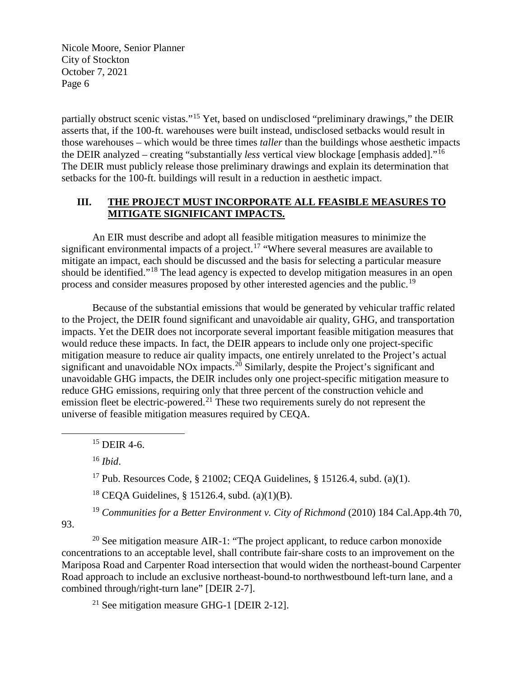partially obstruct scenic vistas."[15](#page-5-0) Yet, based on undisclosed "preliminary drawings," the DEIR asserts that, if the 100-ft. warehouses were built instead, undisclosed setbacks would result in those warehouses – which would be three times *taller* than the buildings whose aesthetic impacts the DEIR analyzed – creating "substantially *less* vertical view blockage [emphasis added]."[16](#page-5-1) The DEIR must publicly release those preliminary drawings and explain its determination that setbacks for the 100-ft. buildings will result in a reduction in aesthetic impact.

#### **III. THE PROJECT MUST INCORPORATE ALL FEASIBLE MEASURES TO MITIGATE SIGNIFICANT IMPACTS.**

An EIR must describe and adopt all feasible mitigation measures to minimize the significant environmental impacts of a project.<sup>[17](#page-5-2)</sup> "Where several measures are available to mitigate an impact, each should be discussed and the basis for selecting a particular measure should be identified."<sup>[18](#page-5-3)</sup> The lead agency is expected to develop mitigation measures in an open process and consider measures proposed by other interested agencies and the public.<sup>19</sup>

Because of the substantial emissions that would be generated by vehicular traffic related to the Project, the DEIR found significant and unavoidable air quality, GHG, and transportation impacts. Yet the DEIR does not incorporate several important feasible mitigation measures that would reduce these impacts. In fact, the DEIR appears to include only one project-specific mitigation measure to reduce air quality impacts, one entirely unrelated to the Project's actual significant and unavoidable NOx impacts.<sup>[20](#page-5-5)</sup> Similarly, despite the Project's significant and unavoidable GHG impacts, the DEIR includes only one project-specific mitigation measure to reduce GHG emissions, requiring only that three percent of the construction vehicle and emission fleet be electric-powered.<sup>[21](#page-5-6)</sup> These two requirements surely do not represent the universe of feasible mitigation measures required by CEQA.

<span id="page-5-0"></span> $15$  DEIR 4-6.

<sup>16</sup> *Ibid*.

<sup>17</sup> Pub. Resources Code, § 21002; CEQA Guidelines, § 15126.4, subd. (a)(1).

<sup>18</sup> CEQA Guidelines, § 15126.4, subd.  $(a)(1)(B)$ .

<sup>19</sup> *Communities for a Better Environment v. City of Richmond* (2010) 184 Cal.App.4th 70,

<span id="page-5-4"></span><span id="page-5-3"></span><span id="page-5-2"></span><span id="page-5-1"></span>93.

<span id="page-5-6"></span><span id="page-5-5"></span><sup>20</sup> See mitigation measure AIR-1: "The project applicant, to reduce carbon monoxide concentrations to an acceptable level, shall contribute fair-share costs to an improvement on the Mariposa Road and Carpenter Road intersection that would widen the northeast-bound Carpenter Road approach to include an exclusive northeast-bound-to northwestbound left-turn lane, and a combined through/right-turn lane" [DEIR 2-7].

<sup>21</sup> See mitigation measure GHG-1 [DEIR 2-12].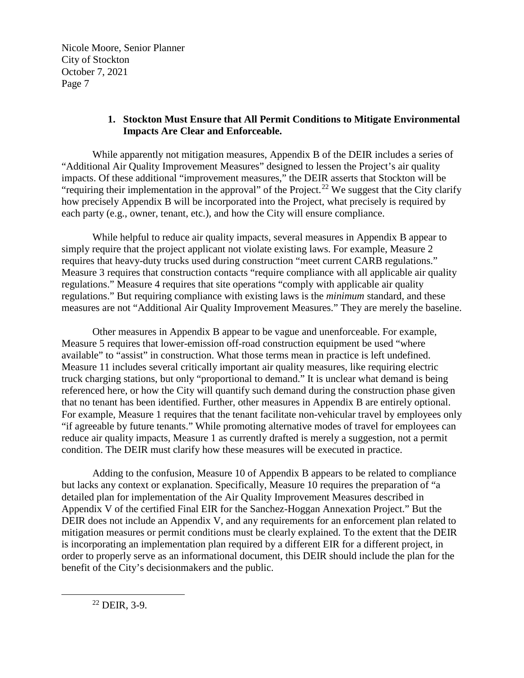#### **1. Stockton Must Ensure that All Permit Conditions to Mitigate Environmental Impacts Are Clear and Enforceable.**

While apparently not mitigation measures, Appendix B of the DEIR includes a series of "Additional Air Quality Improvement Measures" designed to lessen the Project's air quality impacts. Of these additional "improvement measures," the DEIR asserts that Stockton will be "requiring their implementation in the approval" of the Project.<sup>[22](#page-6-0)</sup> We suggest that the City clarify how precisely Appendix B will be incorporated into the Project, what precisely is required by each party (e.g., owner, tenant, etc.), and how the City will ensure compliance.

While helpful to reduce air quality impacts, several measures in Appendix B appear to simply require that the project applicant not violate existing laws. For example, Measure 2 requires that heavy-duty trucks used during construction "meet current CARB regulations." Measure 3 requires that construction contacts "require compliance with all applicable air quality regulations." Measure 4 requires that site operations "comply with applicable air quality regulations." But requiring compliance with existing laws is the *minimum* standard, and these measures are not "Additional Air Quality Improvement Measures." They are merely the baseline.

Other measures in Appendix B appear to be vague and unenforceable. For example, Measure 5 requires that lower-emission off-road construction equipment be used "where available" to "assist" in construction. What those terms mean in practice is left undefined. Measure 11 includes several critically important air quality measures, like requiring electric truck charging stations, but only "proportional to demand." It is unclear what demand is being referenced here, or how the City will quantify such demand during the construction phase given that no tenant has been identified. Further, other measures in Appendix B are entirely optional. For example, Measure 1 requires that the tenant facilitate non-vehicular travel by employees only "if agreeable by future tenants." While promoting alternative modes of travel for employees can reduce air quality impacts, Measure 1 as currently drafted is merely a suggestion, not a permit condition. The DEIR must clarify how these measures will be executed in practice.

Adding to the confusion, Measure 10 of Appendix B appears to be related to compliance but lacks any context or explanation. Specifically, Measure 10 requires the preparation of "a detailed plan for implementation of the Air Quality Improvement Measures described in Appendix V of the certified Final EIR for the Sanchez-Hoggan Annexation Project." But the DEIR does not include an Appendix V, and any requirements for an enforcement plan related to mitigation measures or permit conditions must be clearly explained. To the extent that the DEIR is incorporating an implementation plan required by a different EIR for a different project, in order to properly serve as an informational document, this DEIR should include the plan for the benefit of the City's decisionmakers and the public.

<span id="page-6-0"></span> $22$  DEIR, 3-9.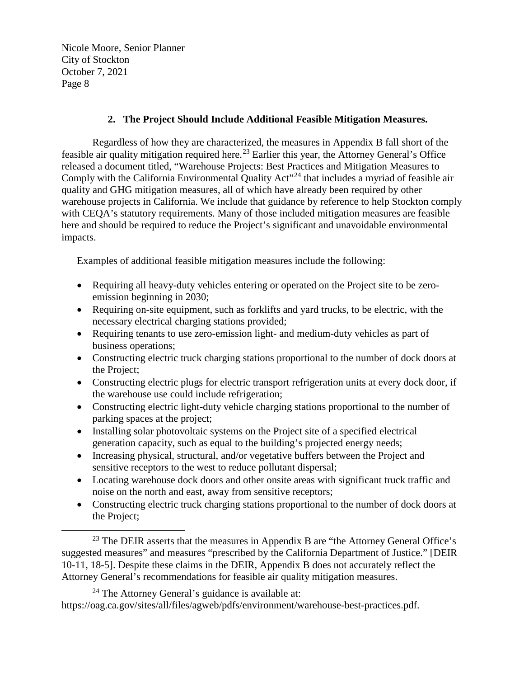## **2. The Project Should Include Additional Feasible Mitigation Measures.**

Regardless of how they are characterized, the measures in Appendix B fall short of the feasible air quality mitigation required here.<sup>23</sup> Earlier this year, the Attorney General's Office released a document titled, "Warehouse Projects: Best Practices and Mitigation Measures to Comply with the California Environmental Quality Act<sup>"[24](#page-7-1)</sup> that includes a myriad of feasible air quality and GHG mitigation measures, all of which have already been required by other warehouse projects in California. We include that guidance by reference to help Stockton comply with CEQA's statutory requirements. Many of those included mitigation measures are feasible here and should be required to reduce the Project's significant and unavoidable environmental impacts.

Examples of additional feasible mitigation measures include the following:

- Requiring all heavy-duty vehicles entering or operated on the Project site to be zeroemission beginning in 2030;
- Requiring on-site equipment, such as forklifts and yard trucks, to be electric, with the necessary electrical charging stations provided;
- Requiring tenants to use zero-emission light- and medium-duty vehicles as part of business operations;
- Constructing electric truck charging stations proportional to the number of dock doors at the Project;
- Constructing electric plugs for electric transport refrigeration units at every dock door, if the warehouse use could include refrigeration;
- Constructing electric light-duty vehicle charging stations proportional to the number of parking spaces at the project;
- Installing solar photovoltaic systems on the Project site of a specified electrical generation capacity, such as equal to the building's projected energy needs;
- Increasing physical, structural, and/or vegetative buffers between the Project and sensitive receptors to the west to reduce pollutant dispersal;
- Locating warehouse dock doors and other onsite areas with significant truck traffic and noise on the north and east, away from sensitive receptors;
- Constructing electric truck charging stations proportional to the number of dock doors at the Project;

<span id="page-7-0"></span> $23$  The DEIR asserts that the measures in Appendix B are "the Attorney General Office's suggested measures" and measures "prescribed by the California Department of Justice." [DEIR 10-11, 18-5]. Despite these claims in the DEIR, Appendix B does not accurately reflect the Attorney General's recommendations for feasible air quality mitigation measures.

<span id="page-7-1"></span> $24$  The Attorney General's guidance is available at: https://oag.ca.gov/sites/all/files/agweb/pdfs/environment/warehouse-best-practices.pdf.